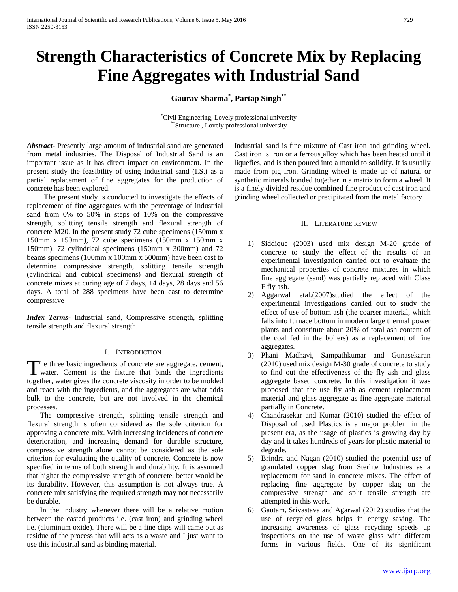# **Strength Characteristics of Concrete Mix by Replacing Fine Aggregates with Industrial Sand**

# **Gaurav Sharma\* , Partap Singh\*\***

\*Civil Engineering, Lovely professional university \*Structure , Lovely professional university

*Abstract***-** Presently large amount of industrial sand are generated from metal industries. The Disposal of Industrial Sand is an important issue as it has direct impact on environment. In the present study the feasibility of using Industrial sand (I.S.) as a partial replacement of fine aggregates for the production of concrete has been explored.

 The present study is conducted to investigate the effects of replacement of fine aggregates with the percentage of industrial sand from 0% to 50% in steps of 10% on the compressive strength, splitting tensile strength and flexural strength of concrete M20. In the present study 72 cube specimens (150mm x 150mm x 150mm), 72 cube specimens (150mm x 150mm x 150mm), 72 cylindrical specimens (150mm x 300mm) and 72 beams specimens (100mm x 100mm x 500mm) have been cast to determine compressive strength, splitting tensile strength (cylindrical and cubical specimens) and flexural strength of concrete mixes at curing age of 7 days, 14 days, 28 days and 56 days. A total of 288 specimens have been cast to determine compressive

*Index Terms*- Industrial sand, Compressive strength, splitting tensile strength and flexural strength.

## I. INTRODUCTION

The three basic ingredients of concrete are aggregate, cement, The three basic ingredients of concrete are aggregate, cement, water. Cement is the fixture that binds the ingredients together, water gives the concrete viscosity in order to be molded and react with the ingredients, and the aggregates are what adds bulk to the concrete, but are not involved in the chemical processes.

 The compressive strength, splitting tensile strength and flexural strength is often considered as the sole criterion for approving a concrete mix. With increasing incidences of concrete deterioration, and increasing demand for durable structure, compressive strength alone cannot be considered as the sole criterion for evaluating the quality of concrete. Concrete is now specified in terms of both strength and durability. It is assumed that higher the compressive strength of concrete, better would be its durability. However, this assumption is not always true. A concrete mix satisfying the required strength may not necessarily be durable.

 In the industry whenever there will be a relative motion between the casted products i.e. (cast iron) and grinding wheel i.e. (aluminum oxide). There will be a fine clips will came out as residue of the process that will acts as a waste and I just want to use this industrial sand as binding material.

Industrial sand is fine mixture of Cast iron and grinding wheel. Cast iron is iron or a ferrous alloy which has been heated until it liquefies, and is then poured into a mould to solidify. It is usually made from pig iron. Grinding wheel is made up of natural or synthetic minerals bonded together in a matrix to form a wheel. It is a finely divided residue combined fine product of cast iron and grinding wheel collected or precipitated from the metal factory

#### II. LITERATURE REVIEW

- 1) Siddique (2003) used mix design M-20 grade of concrete to study the effect of the results of an experimental investigation carried out to evaluate the mechanical properties of concrete mixtures in which fine aggregate (sand) was partially replaced with Class F fly ash.
- 2) Aggarwal etal.(2007)studied the effect of the experimental investigations carried out to study the effect of use of bottom ash (the coarser material, which falls into furnace bottom in modern large thermal power plants and constitute about 20% of total ash content of the coal fed in the boilers) as a replacement of fine aggregates.
- 3) Phani Madhavi, Sampathkumar and Gunasekaran (2010) used mix design M-30 grade of concrete to study to find out the effectiveness of the fly ash and glass aggregate based concrete. In this investigation it was proposed that the use fly ash as cement replacement material and glass aggregate as fine aggregate material partially in Concrete.
- 4) Chandrasekar and Kumar (2010) studied the effect of Disposal of used Plastics is a major problem in the present era, as the usage of plastics is growing day by day and it takes hundreds of years for plastic material to degrade.
- 5) Brindra and Nagan (2010) studied the potential use of granulated copper slag from Sterlite Industries as a replacement for sand in concrete mixes. The effect of replacing fine aggregate by copper slag on the compressive strength and split tensile strength are attempted in this work.
- 6) Gautam, Srivastava and Agarwal (2012) studies that the use of recycled glass helps in energy saving. The increasing awareness of glass recycling speeds up inspections on the use of waste glass with different forms in various fields. One of its significant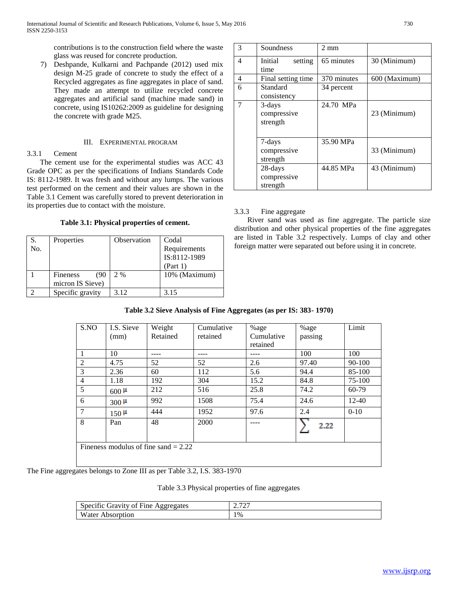contributions is to the construction field where the waste glass was reused for concrete production.

7) Deshpande, Kulkarni and Pachpande (2012) used mix design M-25 grade of concrete to study the effect of a Recycled aggregates as fine aggregates in place of sand. They made an attempt to utilize recycled concrete aggregates and artificial sand (machine made sand) in concrete, using IS10262:2009 as guideline for designing the concrete with grade M25.

## III. EXPERIMENTAL PROGRAM

## 3.3.1 Cement

 The cement use for the experimental studies was ACC 43 Grade OPC as per the specifications of Indians Standards Code IS: 8112-1989. It was fresh and without any lumps. The various test performed on the cement and their values are shown in the Table 3.1 Cement was carefully stored to prevent deterioration in its properties due to contact with the moisture.

**Table 3.1: Physical properties of cement.**

| S.  | Properties       | Observation | Codal         |
|-----|------------------|-------------|---------------|
| No. |                  |             | Requirements  |
|     |                  |             | IS:8112-1989  |
|     |                  |             | (Part 1)      |
|     | Fineness<br>(90  | 2 %         | 10% (Maximum) |
|     | micron IS Sieve) |             |               |
|     | Specific gravity | 3.12        | 3.15          |

| 3 | Soundness          | $2 \text{ mm}$ |               |
|---|--------------------|----------------|---------------|
| 4 | Initial<br>setting | 65 minutes     | 30 (Minimum)  |
|   | time               |                |               |
| 4 | Final setting time | 370 minutes    | 600 (Maximum) |
| 6 | Standard           | 34 percent     |               |
|   | consistency        |                |               |
| 7 | 3-days             | 24.70 MPa      |               |
|   | compressive        |                | 23 (Minimum)  |
|   | strength           |                |               |
|   |                    |                |               |
|   | 7-days             | 35.90 MPa      |               |
|   | compressive        |                | 33 (Minimum)  |
|   | strength           |                |               |
|   | 28-days            | 44.85 MPa      | 43 (Minimum)  |
|   | compressive        |                |               |
|   | strength           |                |               |

## 3.3.3 Fine aggregate

 River sand was used as fine aggregate. The particle size distribution and other physical properties of the fine aggregates are listed in Table 3.2 respectively. Lumps of clay and other foreign matter were separated out before using it in concrete.

## **Table 3.2 Sieve Analysis of Fine Aggregates (as per IS: 383- 1970)**

| S.NO           | I.S. Sieve | Weight                                 | Cumulative | %age       | %age    | Limit      |
|----------------|------------|----------------------------------------|------------|------------|---------|------------|
|                | (mm)       | Retained                               | retained   | Cumulative | passing |            |
|                |            |                                        |            | retained   |         |            |
| 1              | 10         |                                        |            |            | 100     | 100        |
| 2              | 4.75       | 52                                     | 52         | 2.6        | 97.40   | $90 - 100$ |
| 3              | 2.36       | 60                                     | 112        | 5.6        | 94.4    | 85-100     |
| $\overline{4}$ | 1.18       | 192                                    | 304        | 15.2       | 84.8    | 75-100     |
| 5              | $600 \mu$  | 212                                    | 516        | 25.8       | 74.2    | 60-79      |
| 6              | $300 \mu$  | 992                                    | 1508       | 75.4       | 24.6    | $12 - 40$  |
| $\overline{7}$ | $150 \mu$  | 444                                    | 1952       | 97.6       | 2.4     | $0 - 10$   |
| 8              | Pan        | 48                                     | 2000       |            | 2.22    |            |
|                |            | Fineness modulus of fine sand $= 2.22$ |            |            |         |            |

The Fine aggregates belongs to Zone III as per Table 3.2, I.S. 383-1970

Table 3.3 Physical properties of fine aggregates

| Specific Gravity of Fine Aggregates | $\overline{\phantom{a}}$<br>، ،<br>∼ |
|-------------------------------------|--------------------------------------|
| Water.<br>Absorption                | 1%                                   |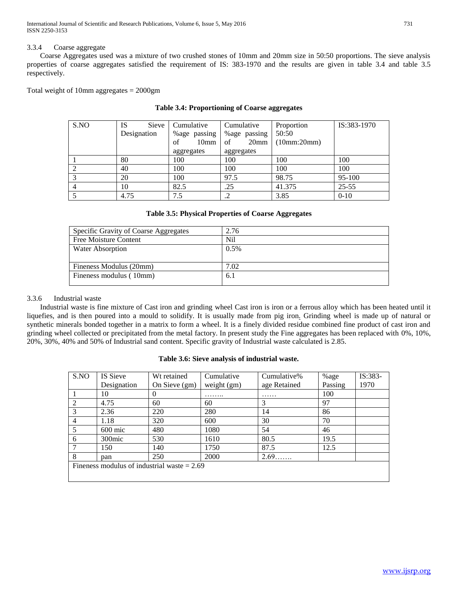International Journal of Scientific and Research Publications, Volume 6, Issue 5, May 2016 731 ISSN 2250-3153

## 3.3.4 Coarse aggregate

 Coarse Aggregates used was a mixture of two crushed stones of 10mm and 20mm size in 50:50 proportions. The sieve analysis properties of coarse aggregates satisfied the requirement of IS: 383-1970 and the results are given in table 3.4 and table 3.5 respectively.

Total weight of 10mm aggregates = 2000gm

| S.NO | <b>IS</b><br><b>Sieve</b> | Cumulative             | Cumulative             | Proportion  | IS:383-1970 |
|------|---------------------------|------------------------|------------------------|-------------|-------------|
|      | Designation               | %age passing           | %age passing           | 50:50       |             |
|      |                           | 10 <sub>mm</sub><br>of | 20 <sub>mm</sub><br>of | (10mm:20mm) |             |
|      |                           | aggregates             | aggregates             |             |             |
|      | 80                        | 100                    | 100                    | 100         | 100         |
|      | 40                        | 100                    | 100                    | 100         | 100         |
|      | 20                        | 100                    | 97.5                   | 98.75       | 95-100      |
|      | 10                        | 82.5                   | .25                    | 41.375      | $25 - 55$   |
|      | 4.75                      | 7.5                    | .∠                     | 3.85        | $0 - 10$    |

## **Table 3.4: Proportioning of Coarse aggregates**

# **Table 3.5: Physical Properties of Coarse Aggregates**

| Specific Gravity of Coarse Aggregates | 2.76 |
|---------------------------------------|------|
| Free Moisture Content                 | Nil  |
| Water Absorption                      | 0.5% |
|                                       |      |
| Fineness Modulus (20mm)               | 7.02 |
| Fineness modulus (10mm)               | 6.1  |
|                                       |      |

## 3.3.6 Industrial waste

 Industrial waste is fine mixture of Cast iron and grinding wheel Cast iron is iron or a ferrous alloy which has been heated until it liquefies, and is then poured into a mould to solidify. It is usually made from pig iron. Grinding wheel is made up of natural or synthetic minerals bonded together in a matrix to form a wheel. It is a finely divided residue combined fine product of cast iron and grinding wheel collected or precipitated from the metal factory. In present study the Fine aggregates has been replaced with 0%, 10%, 20%, 30%, 40% and 50% of Industrial sand content. Specific gravity of Industrial waste calculated is 2.85.

## **Table 3.6: Sieve analysis of industrial waste.**

| S.NO                                          | IS Sieve           | Wt retained   | Cumulative    | Cumulative%  | %age    | $IS:383-$ |
|-----------------------------------------------|--------------------|---------------|---------------|--------------|---------|-----------|
|                                               | Designation        | On Sieve (gm) | weight $(gm)$ | age Retained | Passing | 1970      |
|                                               | 10                 | $\theta$      | .             | .            | 100     |           |
| $\mathcal{D}_{\mathcal{L}}$                   | 4.75               | 60            | 60            | 3            | 97      |           |
| 3                                             | 2.36               | 220           | 280           | 14           | 86      |           |
| 4                                             | 1.18               | 320           | 600           | 30           | 70      |           |
| 5                                             | $600$ mic          | 480           | 1080          | 54           | 46      |           |
| 6                                             | 300 <sub>mic</sub> | 530           | 1610          | 80.5         | 19.5    |           |
|                                               | 150                | 140           | 1750          | 87.5         | 12.5    |           |
| 8                                             | pan                | 250           | 2000          | 2.69         |         |           |
| Fineness modulus of industrial waste $= 2.69$ |                    |               |               |              |         |           |
|                                               |                    |               |               |              |         |           |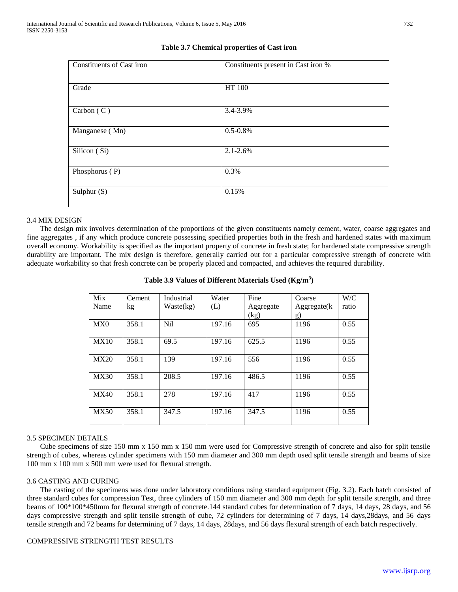| Constituents of Cast iron | Constituents present in Cast iron % |
|---------------------------|-------------------------------------|
| Grade                     | HT 100                              |
| Carbon $(C)$              | 3.4-3.9%                            |
| Manganese (Mn)            | $0.5 - 0.8\%$                       |
| Silicon (Si)              | $2.1 - 2.6\%$                       |
| Phosphorus (P)            | 0.3%                                |
| Sulphur $(S)$             | 0.15%                               |

# **Table 3.7 Chemical properties of Cast iron**

## 3.4 MIX DESIGN

 The design mix involves determination of the proportions of the given constituents namely cement, water, coarse aggregates and fine aggregates , if any which produce concrete possessing specified properties both in the fresh and hardened states with maximum overall economy. Workability is specified as the important property of concrete in fresh state; for hardened state compressive strength durability are important. The mix design is therefore, generally carried out for a particular compressive strength of concrete with adequate workability so that fresh concrete can be properly placed and compacted, and achieves the required durability.

| Mix         | Cement | Industrial       | Water  | Fine      | Coarse      | W/C   |
|-------------|--------|------------------|--------|-----------|-------------|-------|
| Name        | kg     | Waste(kg)        | (L)    | Aggregate | Aggregate(k | ratio |
|             |        |                  |        | (kg)      | g)          |       |
| MX0         | 358.1  | N <sub>i</sub> l | 197.16 | 695       | 1196        | 0.55  |
|             |        |                  |        |           |             |       |
| MX10        | 358.1  | 69.5             | 197.16 | 625.5     | 1196        | 0.55  |
|             |        |                  |        |           |             |       |
| <b>MX20</b> | 358.1  | 139              | 197.16 | 556       | 1196        | 0.55  |
|             |        |                  |        |           |             |       |
| <b>MX30</b> | 358.1  | 208.5            | 197.16 | 486.5     | 1196        | 0.55  |
|             |        |                  |        |           |             |       |
| MX40        | 358.1  | 278              | 197.16 | 417       | 1196        | 0.55  |
|             |        |                  |        |           |             |       |
| <b>MX50</b> | 358.1  | 347.5            | 197.16 | 347.5     | 1196        | 0.55  |
|             |        |                  |        |           |             |       |

## **Table 3.9 Values of Different Materials Used (Kg/m<sup>3</sup> )**

## 3.5 SPECIMEN DETAILS

 Cube specimens of size 150 mm x 150 mm x 150 mm were used for Compressive strength of concrete and also for split tensile strength of cubes, whereas cylinder specimens with 150 mm diameter and 300 mm depth used split tensile strength and beams of size 100 mm x 100 mm x 500 mm were used for flexural strength.

## 3.6 CASTING AND CURING

 The casting of the specimens was done under laboratory conditions using standard equipment (Fig. 3.2). Each batch consisted of three standard cubes for compression Test, three cylinders of 150 mm diameter and 300 mm depth for split tensile strength, and three beams of 100\*100\*450mm for flexural strength of concrete.144 standard cubes for determination of 7 days, 14 days, 28 days, and 56 days compressive strength and split tensile strength of cube, 72 cylinders for determining of 7 days, 14 days,28days, and 56 days tensile strength and 72 beams for determining of 7 days, 14 days, 28days, and 56 days flexural strength of each batch respectively.

## COMPRESSIVE STRENGTH TEST RESULTS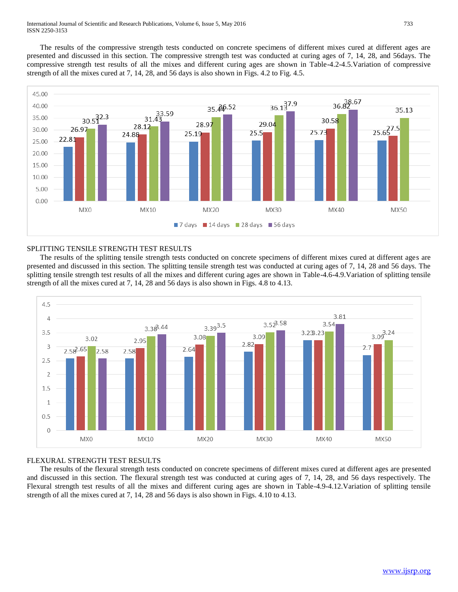The results of the compressive strength tests conducted on concrete specimens of different mixes cured at different ages are presented and discussed in this section. The compressive strength test was conducted at curing ages of 7, 14, 28, and 56days. The compressive strength test results of all the mixes and different curing ages are shown in Table-4.2-4.5.Variation of compressive strength of all the mixes cured at 7, 14, 28, and 56 days is also shown in Figs. 4.2 to Fig. 4.5.



## SPLITTING TENSILE STRENGTH TEST RESULTS

 The results of the splitting tensile strength tests conducted on concrete specimens of different mixes cured at different ages are presented and discussed in this section. The splitting tensile strength test was conducted at curing ages of 7, 14, 28 and 56 days. The splitting tensile strength test results of all the mixes and different curing ages are shown in Table-4.6-4.9.Variation of splitting tensile strength of all the mixes cured at 7, 14, 28 and 56 days is also shown in Figs. 4.8 to 4.13.



## FLEXURAL STRENGTH TEST RESULTS

 The results of the flexural strength tests conducted on concrete specimens of different mixes cured at different ages are presented and discussed in this section. The flexural strength test was conducted at curing ages of 7, 14, 28, and 56 days respectively. The Flexural strength test results of all the mixes and different curing ages are shown in Table-4.9-4.12.Variation of splitting tensile strength of all the mixes cured at 7, 14, 28 and 56 days is also shown in Figs. 4.10 to 4.13.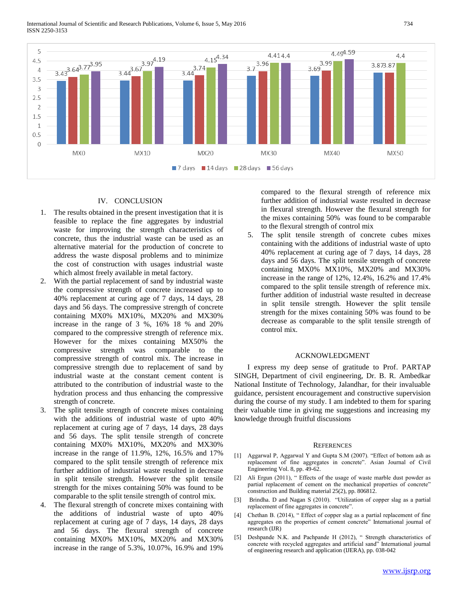

## IV. CONCLUSION

- 1. The results obtained in the present investigation that it is feasible to replace the fine aggregates by industrial waste for improving the strength characteristics of concrete, thus the industrial waste can be used as an alternative material for the production of concrete to address the waste disposal problems and to minimize the cost of construction with usages industrial waste which almost freely available in metal factory.
- 2. With the partial replacement of sand by industrial waste the compressive strength of concrete increased up to 40% replacement at curing age of 7 days, 14 days, 28 days and 56 days. The compressive strength of concrete containing MX0% MX10%, MX20% and MX30% increase in the range of 3 %, 16% 18 % and 20% compared to the compressive strength of reference mix. However for the mixes containing MX50% the compressive strength was comparable to the compressive strength of control mix. The increase in compressive strength due to replacement of sand by industrial waste at the constant cement content is attributed to the contribution of industrial waste to the hydration process and thus enhancing the compressive strength of concrete.
- 3. The split tensile strength of concrete mixes containing with the additions of industrial waste of upto 40% replacement at curing age of 7 days, 14 days, 28 days and 56 days. The split tensile strength of concrete containing MX0% MX10%, MX20% and MX30% increase in the range of 11.9%, 12%, 16.5% and 17% compared to the split tensile strength of reference mix further addition of industrial waste resulted in decrease in split tensile strength. However the split tensile strength for the mixes containing 50% was found to be comparable to the split tensile strength of control mix.
- 4. The flexural strength of concrete mixes containing with the additions of industrial waste of upto 40% replacement at curing age of 7 days, 14 days, 28 days and 56 days. The flexural strength of concrete containing MX0% MX10%, MX20% and MX30% increase in the range of 5.3%, 10.07%, 16.9% and 19%

compared to the flexural strength of reference mix further addition of industrial waste resulted in decrease in flexural strength. However the flexural strength for the mixes containing 50% was found to be comparable to the flexural strength of control mix

5. The split tensile strength of concrete cubes mixes containing with the additions of industrial waste of upto 40% replacement at curing age of 7 days, 14 days, 28 days and 56 days. The split tensile strength of concrete containing MX0% MX10%, MX20% and MX30% increase in the range of 12%, 12.4%, 16.2% and 17.4% compared to the split tensile strength of reference mix. further addition of industrial waste resulted in decrease in split tensile strength. However the split tensile strength for the mixes containing 50% was found to be decrease as comparable to the split tensile strength of control mix.

## ACKNOWLEDGMENT

 I express my deep sense of gratitude to Prof. PARTAP SINGH, Department of civil engineering, Dr. B. R. Ambedkar National Institute of Technology, Jalandhar, for their invaluable guidance, persistent encouragement and constructive supervision during the course of my study. I am indebted to them for sparing their valuable time in giving me suggestions and increasing my knowledge through fruitful discussions

#### **REFERENCES**

- [1] Aggarwal P, Aggarwal Y and Gupta S.M (2007). "Effect of bottom ash as replacement of fine aggregates in concrete". Asian Journal of Civil Engineering Vol. 8, pp. 49-62.
- [2] Ali Ergun (2011), " Effects of the usage of waste marble dust powder as partial replacement of cement on the mechanical properties of concrete" construction and Building material 25(2), pp. 806812.
- [3] Brindha. D and Nagan S (2010). "Utilization of copper slag as a partial replacement of fine aggregates in concrete".
- [4] Chethan B. (2014), " Effect of copper slag as a partial replacement of fine aggregates on the properties of cement concrete" International journal of research (IJR)
- [5] Deshpande N.K. and Pachpande H (2012), " Strength characteristics of concrete with recycled aggregates and artificial sand" International journal of engineering research and application (IJERA), pp. 038-042